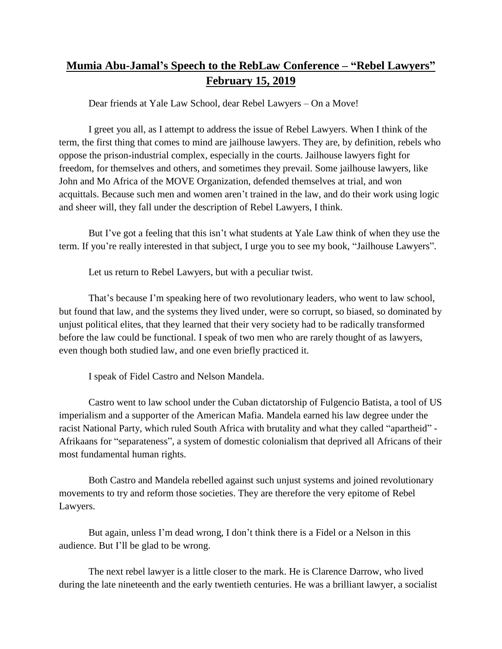## **Mumia Abu-Jamal's Speech to the RebLaw Conference – "Rebel Lawyers" February 15, 2019**

Dear friends at Yale Law School, dear Rebel Lawyers – On a Move!

I greet you all, as I attempt to address the issue of Rebel Lawyers. When I think of the term, the first thing that comes to mind are jailhouse lawyers. They are, by definition, rebels who oppose the prison-industrial complex, especially in the courts. Jailhouse lawyers fight for freedom, for themselves and others, and sometimes they prevail. Some jailhouse lawyers, like John and Mo Africa of the MOVE Organization, defended themselves at trial, and won acquittals. Because such men and women aren't trained in the law, and do their work using logic and sheer will, they fall under the description of Rebel Lawyers, I think.

But I've got a feeling that this isn't what students at Yale Law think of when they use the term. If you're really interested in that subject, I urge you to see my book, "Jailhouse Lawyers".

Let us return to Rebel Lawyers, but with a peculiar twist.

That's because I'm speaking here of two revolutionary leaders, who went to law school, but found that law, and the systems they lived under, were so corrupt, so biased, so dominated by unjust political elites, that they learned that their very society had to be radically transformed before the law could be functional. I speak of two men who are rarely thought of as lawyers, even though both studied law, and one even briefly practiced it.

I speak of Fidel Castro and Nelson Mandela.

Castro went to law school under the Cuban dictatorship of Fulgencio Batista, a tool of US imperialism and a supporter of the American Mafia. Mandela earned his law degree under the racist National Party, which ruled South Africa with brutality and what they called "apartheid" - Afrikaans for "separateness", a system of domestic colonialism that deprived all Africans of their most fundamental human rights.

Both Castro and Mandela rebelled against such unjust systems and joined revolutionary movements to try and reform those societies. They are therefore the very epitome of Rebel Lawyers.

But again, unless I'm dead wrong, I don't think there is a Fidel or a Nelson in this audience. But I'll be glad to be wrong.

The next rebel lawyer is a little closer to the mark. He is Clarence Darrow, who lived during the late nineteenth and the early twentieth centuries. He was a brilliant lawyer, a socialist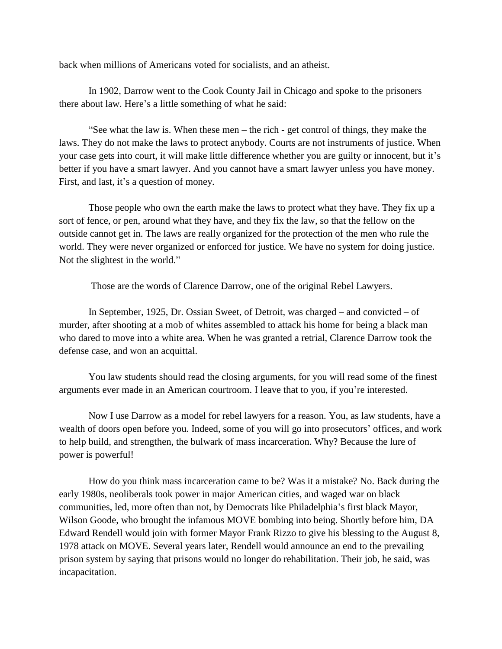back when millions of Americans voted for socialists, and an atheist.

In 1902, Darrow went to the Cook County Jail in Chicago and spoke to the prisoners there about law. Here's a little something of what he said:

"See what the law is. When these men – the rich - get control of things, they make the laws. They do not make the laws to protect anybody. Courts are not instruments of justice. When your case gets into court, it will make little difference whether you are guilty or innocent, but it's better if you have a smart lawyer. And you cannot have a smart lawyer unless you have money. First, and last, it's a question of money.

Those people who own the earth make the laws to protect what they have. They fix up a sort of fence, or pen, around what they have, and they fix the law, so that the fellow on the outside cannot get in. The laws are really organized for the protection of the men who rule the world. They were never organized or enforced for justice. We have no system for doing justice. Not the slightest in the world."

Those are the words of Clarence Darrow, one of the original Rebel Lawyers.

In September, 1925, Dr. Ossian Sweet, of Detroit, was charged – and convicted – of murder, after shooting at a mob of whites assembled to attack his home for being a black man who dared to move into a white area. When he was granted a retrial, Clarence Darrow took the defense case, and won an acquittal.

You law students should read the closing arguments, for you will read some of the finest arguments ever made in an American courtroom. I leave that to you, if you're interested.

Now I use Darrow as a model for rebel lawyers for a reason. You, as law students, have a wealth of doors open before you. Indeed, some of you will go into prosecutors' offices, and work to help build, and strengthen, the bulwark of mass incarceration. Why? Because the lure of power is powerful!

How do you think mass incarceration came to be? Was it a mistake? No. Back during the early 1980s, neoliberals took power in major American cities, and waged war on black communities, led, more often than not, by Democrats like Philadelphia's first black Mayor, Wilson Goode, who brought the infamous MOVE bombing into being. Shortly before him, DA Edward Rendell would join with former Mayor Frank Rizzo to give his blessing to the August 8, 1978 attack on MOVE. Several years later, Rendell would announce an end to the prevailing prison system by saying that prisons would no longer do rehabilitation. Their job, he said, was incapacitation.